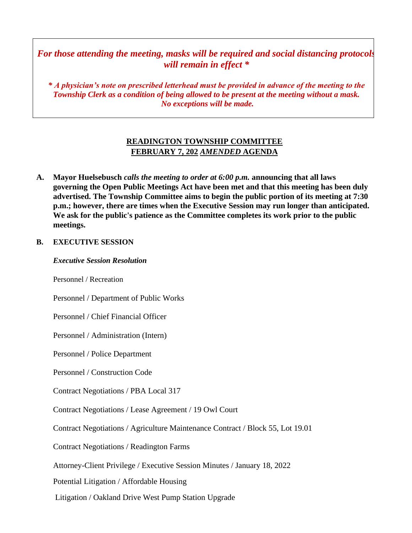# *For those attending the meeting, masks will be required and social distancing protocols will remain in effect \**

*\* A physician's note on prescribed letterhead must be provided in advance of the meeting to the Township Clerk as a condition of being allowed to be present at the meeting without a mask. No exceptions will be made.*

# **READINGTON TOWNSHIP COMMITTEE FEBRUARY 7, 202** *AMENDED* **AGENDA**

**A. Mayor Huelsebusch** *calls the meeting to order at 6:00 p.m.* **announcing that all laws governing the Open Public Meetings Act have been met and that this meeting has been duly advertised. The Township Committee aims to begin the public portion of its meeting at 7:30 p.m.; however, there are times when the Executive Session may run longer than anticipated. We ask for the public's patience as the Committee completes its work prior to the public meetings.**

### **B. EXECUTIVE SESSION**

*Executive Session Resolution*

Personnel / Recreation

Personnel / Department of Public Works

Personnel / Chief Financial Officer

Personnel / Administration (Intern)

Personnel / Police Department

Personnel / Construction Code

Contract Negotiations / PBA Local 317

Contract Negotiations / Lease Agreement / 19 Owl Court

Contract Negotiations / Agriculture Maintenance Contract / Block 55, Lot 19.01

Contract Negotiations / Readington Farms

Attorney-Client Privilege / Executive Session Minutes / January 18, 2022

Potential Litigation / Affordable Housing

Litigation / Oakland Drive West Pump Station Upgrade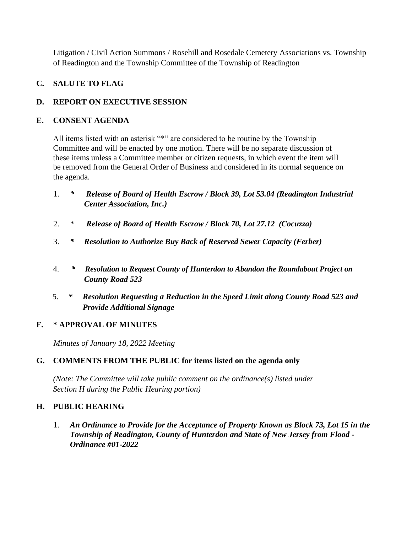Litigation / Civil Action Summons / Rosehill and Rosedale Cemetery Associations vs. Township of Readington and the Township Committee of the Township of Readington

# **C. SALUTE TO FLAG**

# **D. REPORT ON EXECUTIVE SESSION**

### **E. CONSENT AGENDA**

All items listed with an asterisk "\*" are considered to be routine by the Township Committee and will be enacted by one motion. There will be no separate discussion of these items unless a Committee member or citizen requests, in which event the item will be removed from the General Order of Business and considered in its normal sequence on the agenda.

- 1. *\* Release of Board of Health Escrow / Block 39, Lot 53.04 (Readington Industrial Center Association, Inc.)*
- 2. \* *Release of Board of Health Escrow / Block 70, Lot 27.12 (Cocuzza)*
- 3. *\* Resolution to Authorize Buy Back of Reserved Sewer Capacity (Ferber)*
- 4. *\* Resolution to Request County of Hunterdon to Abandon the Roundabout Project on County Road 523*
- 5. *\* Resolution Requesting a Reduction in the Speed Limit along County Road 523 and Provide Additional Signage*

### **F. \* APPROVAL OF MINUTES**

*Minutes of January 18, 2022 Meeting* 

### **G. COMMENTS FROM THE PUBLIC for items listed on the agenda only**

*(Note: The Committee will take public comment on the ordinance(s) listed under Section H during the Public Hearing portion)*

### **H. PUBLIC HEARING**

1. *An Ordinance to Provide for the Acceptance of Property Known as Block 73, Lot 15 in the Township of Readington, County of Hunterdon and State of New Jersey from Flood - Ordinance #01-2022*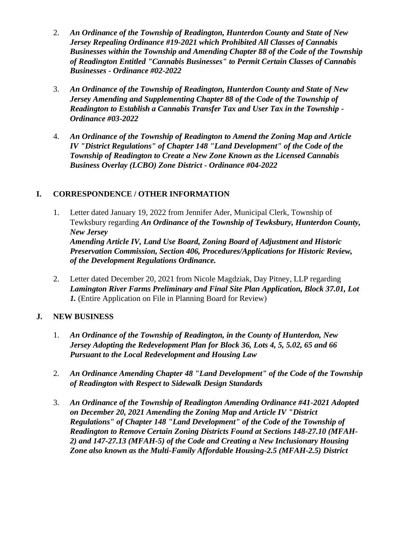- 2. *An Ordinance of the Township of Readington, Hunterdon County and State of New Jersey Repealing Ordinance #19-2021 which Prohibited All Classes of Cannabis Businesses within the Township and Amending Chapter 88 of the Code of the Township of Readington Entitled "Cannabis Businesses" to Permit Certain Classes of Cannabis Businesses - Ordinance #02-2022*
- 3. *An Ordinance of the Township of Readington, Hunterdon County and State of New Jersey Amending and Supplementing Chapter 88 of the Code of the Township of Readington to Establish a Cannabis Transfer Tax and User Tax in the Township - Ordinance #03-2022*
- 4. *An Ordinance of the Township of Readington to Amend the Zoning Map and Article IV "District Regulations" of Chapter 148 "Land Development" of the Code of the Township of Readington to Create a New Zone Known as the Licensed Cannabis Business Overlay (LCBO) Zone District - Ordinance #04-2022*

### **I. CORRESPONDENCE / OTHER INFORMATION**

- 1. Letter dated January 19, 2022 from Jennifer Ader, Municipal Clerk, Township of Tewksbury regarding *An Ordinance of the Township of Tewksbury, Hunterdon County, New Jersey Amending Article IV, Land Use Board, Zoning Board of Adjustment and Historic Preservation Commission, Section 406, Procedures/Applications for Historic Review, of the Development Regulations Ordinance.*
- 2. Letter dated December 20, 2021 from Nicole Magdziak, Day Pitney, LLP regarding *Lamington River Farms Preliminary and Final Site Plan Application, Block 37.01, Lot 1.* (Entire Application on File in Planning Board for Review)

### **J. NEW BUSINESS**

- 1. *An Ordinance of the Township of Readington, in the County of Hunterdon, New Jersey Adopting the Redevelopment Plan for Block 36, Lots 4, 5, 5.02, 65 and 66 Pursuant to the Local Redevelopment and Housing Law*
- 2. *An Ordinance Amending Chapter 48 "Land Development" of the Code of the Township of Readington with Respect to Sidewalk Design Standards*
- 3. *An Ordinance of the Township of Readington Amending Ordinance #41-2021 Adopted on December 20, 2021 Amending the Zoning Map and Article IV "District Regulations" of Chapter 148 "Land Development" of the Code of the Township of Readington to Remove Certain Zoning Districts Found at Sections 148-27.10 (MFAH-2) and 147-27.13 (MFAH-5) of the Code and Creating a New Inclusionary Housing Zone also known as the Multi-Family Affordable Housing-2.5 (MFAH-2.5) District*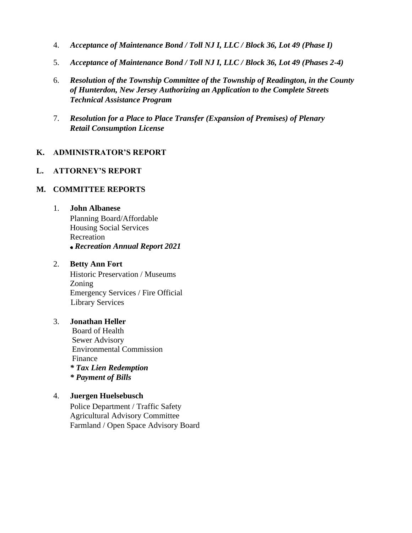- 4. *Acceptance of Maintenance Bond / Toll NJ I, LLC / Block 36, Lot 49 (Phase I)*
- 5. *Acceptance of Maintenance Bond / Toll NJ I, LLC / Block 36, Lot 49 (Phases 2-4)*
- 6. *Resolution of the Township Committee of the Township of Readington, in the County of Hunterdon, New Jersey Authorizing an Application to the Complete Streets Technical Assistance Program*
- 7. *Resolution for a Place to Place Transfer (Expansion of Premises) of Plenary Retail Consumption License*

#### **K. ADMINISTRATOR'S REPORT**

### **L. ATTORNEY'S REPORT**

#### **M. COMMITTEE REPORTS**

#### 1. **John Albanese**

Planning Board/Affordable Housing Social Services Recreation *Recreation Annual Report 2021*

#### 2. **Betty Ann Fort**

Historic Preservation / Museums Zoning Emergency Services / Fire Official Library Services

#### 3. **Jonathan Heller**

Board of Health Sewer Advisory Environmental Commission Finance *\* Tax Lien Redemption \* Payment of Bills* 

#### 4. **Juergen Huelsebusch**

Police Department / Traffic Safety Agricultural Advisory Committee Farmland / Open Space Advisory Board